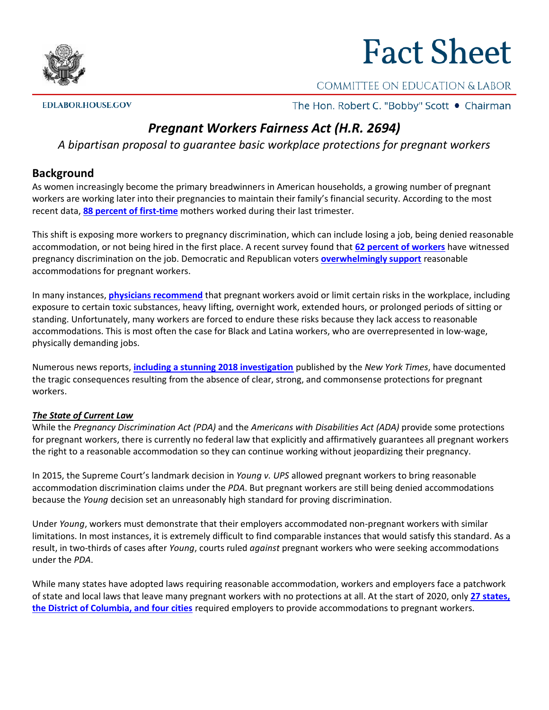

# **Fact Sheet**

## COMMITTEE ON EDUCATION & LABOR

**EDLABOR.HOUSE.GOV** 

The Hon. Robert C. "Bobby" Scott . Chairman

# *Pregnant Workers Fairness Act (H.R. 2694)*

*A bipartisan proposal to guarantee basic workplace protections for pregnant workers*

#### **Background**

As women increasingly become the primary breadwinners in American households, a growing number of pregnant workers are working later into their pregnancies to maintain their family's financial security. According to the most recent data, **[88 percent of first-time](https://www2.census.gov/library/publications/2011/demo/p70-128.pdf)** mothers worked during their last trimester.

This shift is exposing more workers to pregnancy discrimination, which can include losing a job, being denied reasonable accommodation, or not being hired in the first place. A recent survey found that **[62 percent of workers](https://www.abetterbalance.org/our-campaigns/pregnant-workers-fairness/)** have witnessed pregnancy discrimination on the job. Democratic and Republican voters **[overwhelmingly support](https://nwlc-ciw49tixgw5lbab.stackpathdns.com/wp-content/uploads/2019/05/NWLC-Polling-Memo.pdf)** reasonable accommodations for pregnant workers.

In many instances, **[physicians recommend](https://www.acog.org/Clinical-Guidance-and-Publications/Committee-Opinions/Committee-on-Obstetric-Practice/Employment-Considerations-During-Pregnancy-and-the-Postpartum-Period#4.)** that pregnant workers avoid or limit certain risks in the workplace, including exposure to certain toxic substances, heavy lifting, overnight work, extended hours, or prolonged periods of sitting or standing. Unfortunately, many workers are forced to endure these risks because they lack access to reasonable accommodations. This is most often the case for Black and Latina workers, who are overrepresented in low-wage, physically demanding jobs.

Numerous news reports, **[including a stunning 2018 investigation](https://www.nytimes.com/interactive/2018/10/21/business/pregnancy-discrimination-miscarriages.html?module=inline)** published by the *New York Times*, have documented the tragic consequences resulting from the absence of clear, strong, and commonsense protections for pregnant workers.

#### *The State of Current Law*

While the *Pregnancy Discrimination Act (PDA)* and the *Americans with Disabilities Act (ADA)* provide some protections for pregnant workers, there is currently no federal law that explicitly and affirmatively guarantees all pregnant workers the right to a reasonable accommodation so they can continue working without jeopardizing their pregnancy.

In 2015, the Supreme Court's landmark decision in *Young v. UPS* allowed pregnant workers to bring reasonable accommodation discrimination claims under the *PDA*. But pregnant workers are still being denied accommodations because the *Young* decision set an unreasonably high standard for proving discrimination.

Under *Young*, workers must demonstrate that their employers accommodated non-pregnant workers with similar limitations. In most instances, it is extremely difficult to find comparable instances that would satisfy this standard. As a result, in two-thirds of cases after *Young*, courts ruled *against* pregnant workers who were seeking accommodations under the *PDA*.

While many states have adopted laws requiring reasonable accommodation, workers and employers face a patchwork of state and local laws that leave many pregnant workers with no protections at all. At the start of 2020, only **[27 states,](https://www.abetterbalance.org/resources/pregnant-worker-fairness-legislative-successes/)  [the District of Columbia, and four cities](https://www.abetterbalance.org/resources/pregnant-worker-fairness-legislative-successes/)** required employers to provide accommodations to pregnant workers.